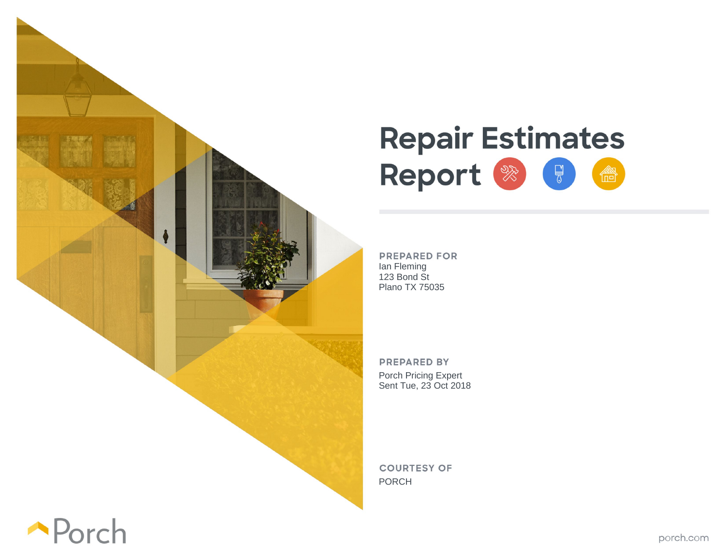

## **Repair Estimates** Report & F 會

**PREPARED FOR** Ian Fleming 123 Bond St Plano TX 75035

**PREPARED BY** Porch Pricing Expert Sent Tue, 23 Oct 2018

**COURTESY OF** PORCH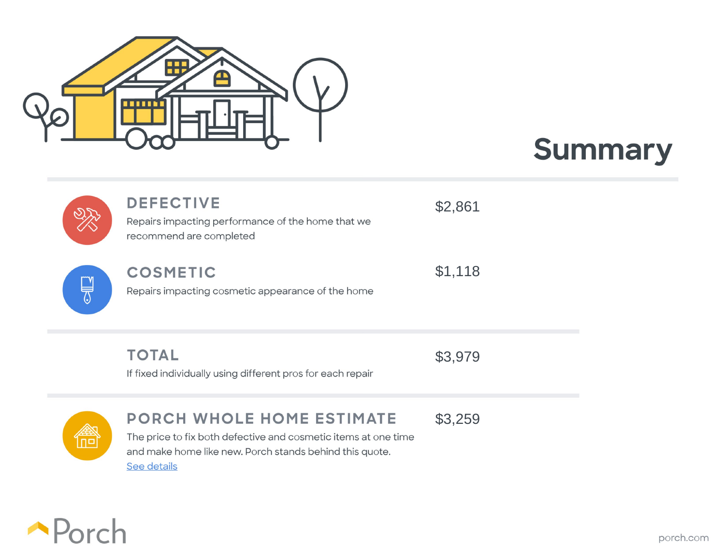





## **DEFECTIVE**

\$2,861

Repairs impacting performance of the home that we recommend are completed

 $\mathbb{R}$ 

## **COSMETIC**

\$1,118

Repairs impacting cosmetic appearance of the home

**TOTAL** If fixed individually using different pros for each repair

\$3,979

## **PORCH WHOLE HOME ESTIMATE**

\$3,259

The price to fix both defective and cosmetic items at one time and make home like new. Porch stands behind this quote. See details